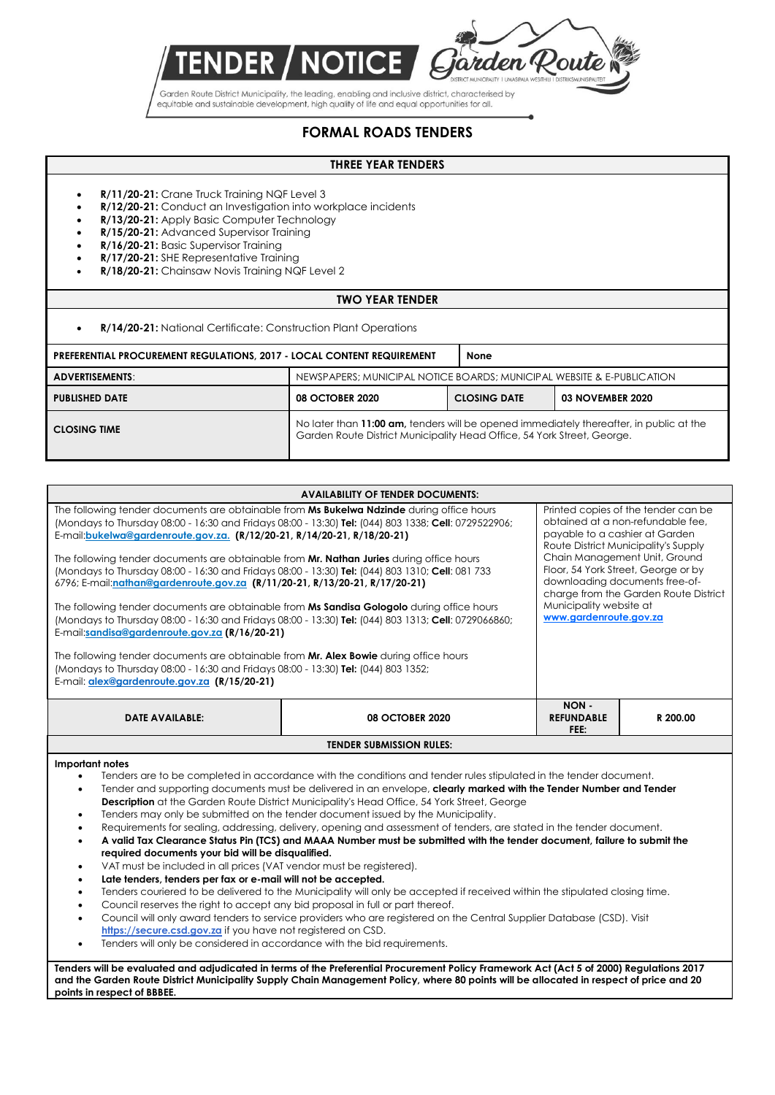

Garden Route District Municipality, the leading, enabling and inclusive district, characterised by equitable and sustainable development, high quality of life and equal opportunities for all.

## **FORMAL ROADS TENDERS**

## **THREE YEAR TENDERS**

- **R/11/20-21:** Crane Truck Training NQF Level 3
- **R/12/20-21:** Conduct an Investigation into workplace incidents
- **R/13/20-21:** Apply Basic Computer Technology
- **R/15/20-21:** Advanced Supervisor Training
- **R/16/20-21:** Basic Supervisor Training
- **R/17/20-21:** SHE Representative Training
- **R/18/20-21:** Chainsaw Novis Training NQF Level 2

## **TWO YEAR TENDER**

**R/14/20-21:** National Certificate: Construction Plant Operations

| <b>PREFERENTIAL PROCUREMENT REGULATIONS, 2017 - LOCAL CONTENT REQUIREMENT</b> |                                                                                                                                                                    | None                |                  |  |
|-------------------------------------------------------------------------------|--------------------------------------------------------------------------------------------------------------------------------------------------------------------|---------------------|------------------|--|
| ADVERTISEMENTS:                                                               | NEWSPAPERS; MUNICIPAL NOTICE BOARDS; MUNICIPAL WEBSITE & E-PUBLICATION                                                                                             |                     |                  |  |
| <b>PUBLISHED DATE</b>                                                         | <b>08 OCTOBER 2020</b>                                                                                                                                             | <b>CLOSING DATE</b> | 03 NOVEMBER 2020 |  |
| <b>CLOSING TIME</b>                                                           | No later than 11:00 am, tenders will be opened immediately thereafter, in public at the<br>Garden Route District Municipality Head Office, 54 York Street, George. |                     |                  |  |

| <b>AVAILABILITY OF TENDER DOCUMENTS:</b>                                                                                                                                                                                                                                                                                                                                                                                                                                                                                                                                                                                                                                                                                                                                                                                                                                                                                                                                                                                                                                                                                                                                                                                                                                                                                                                                                                         |                                   |                                                                                                                                                                                                                                                                                                                                                                                                                                                                                                                                                                                                                             |  |  |  |
|------------------------------------------------------------------------------------------------------------------------------------------------------------------------------------------------------------------------------------------------------------------------------------------------------------------------------------------------------------------------------------------------------------------------------------------------------------------------------------------------------------------------------------------------------------------------------------------------------------------------------------------------------------------------------------------------------------------------------------------------------------------------------------------------------------------------------------------------------------------------------------------------------------------------------------------------------------------------------------------------------------------------------------------------------------------------------------------------------------------------------------------------------------------------------------------------------------------------------------------------------------------------------------------------------------------------------------------------------------------------------------------------------------------|-----------------------------------|-----------------------------------------------------------------------------------------------------------------------------------------------------------------------------------------------------------------------------------------------------------------------------------------------------------------------------------------------------------------------------------------------------------------------------------------------------------------------------------------------------------------------------------------------------------------------------------------------------------------------------|--|--|--|
| The following tender documents are obtainable from Ms Bukelwa Ndzinde during office hours<br>Printed copies of the tender can be<br>obtained at a non-refundable fee.<br>(Mondays to Thursday 08:00 - 16:30 and Fridays 08:00 - 13:30) Tel: (044) 803 1338; Cell: 0729522906;<br>payable to a cashier at Garden<br>E-mail:bukelwa@gardenroute.gov.za. (R/12/20-21, R/14/20-21, R/18/20-21)<br>Route District Municipality's Supply<br>Chain Management Unit, Ground<br>The following tender documents are obtainable from Mr. Nathan Juries during office hours<br>Floor, 54 York Street, George or by<br>(Mondays to Thursday 08:00 - 16:30 and Fridays 08:00 - 13:30) Tel: (044) 803 1310; Cell: 081 733<br>downloading documents free-of-<br>6796; E-mail:nathan@gardenroute.gov.za (R/11/20-21, R/13/20-21, R/17/20-21)<br>charge from the Garden Route District<br>Municipality website at<br>The following tender documents are obtainable from Ms Sandisa Gologolo during office hours<br>www.gardenroute.gov.za<br>(Mondays to Thursday 08:00 - 16:30 and Fridays 08:00 - 13:30) Tel: (044) 803 1313; Cell: 0729066860;<br>E-mail:sandisa@gardenroute.gov.za (R/16/20-21)<br>The following tender documents are obtainable from Mr. Alex Bowie during office hours<br>(Mondays to Thursday 08:00 - 16:30 and Fridays 08:00 - 13:30) Tel: (044) 803 1352;<br>E-mail: alex@gardenroute.gov.za (R/15/20-21) |                                   |                                                                                                                                                                                                                                                                                                                                                                                                                                                                                                                                                                                                                             |  |  |  |
| <b>08 OCTOBER 2020</b>                                                                                                                                                                                                                                                                                                                                                                                                                                                                                                                                                                                                                                                                                                                                                                                                                                                                                                                                                                                                                                                                                                                                                                                                                                                                                                                                                                                           | NON-<br><b>REFUNDABLE</b><br>FEE: | R 200.00                                                                                                                                                                                                                                                                                                                                                                                                                                                                                                                                                                                                                    |  |  |  |
| <b>TENDER SUBMISSION RULES:</b>                                                                                                                                                                                                                                                                                                                                                                                                                                                                                                                                                                                                                                                                                                                                                                                                                                                                                                                                                                                                                                                                                                                                                                                                                                                                                                                                                                                  |                                   |                                                                                                                                                                                                                                                                                                                                                                                                                                                                                                                                                                                                                             |  |  |  |
|                                                                                                                                                                                                                                                                                                                                                                                                                                                                                                                                                                                                                                                                                                                                                                                                                                                                                                                                                                                                                                                                                                                                                                                                                                                                                                                                                                                                                  |                                   |                                                                                                                                                                                                                                                                                                                                                                                                                                                                                                                                                                                                                             |  |  |  |
| <b>Description</b> at the Garden Route District Municipality's Head Office, 54 York Street, George<br>Tenders may only be submitted on the tender document issued by the Municipality.<br>required documents your bid will be disqualified.<br>VAT must be included in all prices (VAT vendor must be registered).<br>Late tenders, tenders per fax or e-mail will not be accepted.<br>Council reserves the right to accept any bid proposal in full or part thereof.<br>Council will only award tenders to service providers who are registered on the Central Supplier Database (CSD). Visit                                                                                                                                                                                                                                                                                                                                                                                                                                                                                                                                                                                                                                                                                                                                                                                                                   |                                   |                                                                                                                                                                                                                                                                                                                                                                                                                                                                                                                                                                                                                             |  |  |  |
|                                                                                                                                                                                                                                                                                                                                                                                                                                                                                                                                                                                                                                                                                                                                                                                                                                                                                                                                                                                                                                                                                                                                                                                                                                                                                                                                                                                                                  |                                   | Tenders are to be completed in accordance with the conditions and tender rules stipulated in the tender document.<br>Tender and supporting documents must be delivered in an envelope, clearly marked with the Tender Number and Tender<br>Requirements for sealing, addressing, delivery, opening and assessment of tenders, are stated in the tender document.<br>A valid Tax Clearance Status Pin (TCS) and MAAA Number must be submitted with the tender document, failure to submit the<br>Tenders couriered to be delivered to the Municipality will only be accepted if received within the stipulated closing time. |  |  |  |

Tenders will only be considered in accordance with the bid requirements.

**Tenders will be evaluated and adjudicated in terms of the Preferential Procurement Policy Framework Act (Act 5 of 2000) Regulations 2017 and the Garden Route District Municipality Supply Chain Management Policy, where 80 points will be allocated in respect of price and 20 points in respect of BBBEE.**